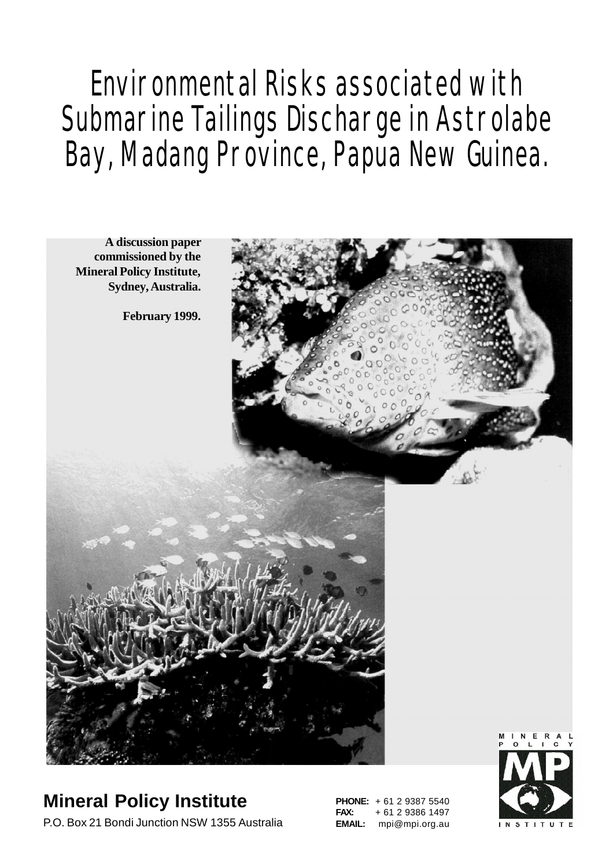# Environmental Risks associated with Submarine Tailings Discharge in Astrolabe Bay, Madang Province, Papua New Guinea.



#### **Mineral Policy Institute** P.O. Box 21 Bondi Junction NSW 1355 Australia

**PHONE:** + 61 2 9387 5540 **FAX:** + 61 2 9386 1497 **EMAIL:** mpi@mpi.org.au

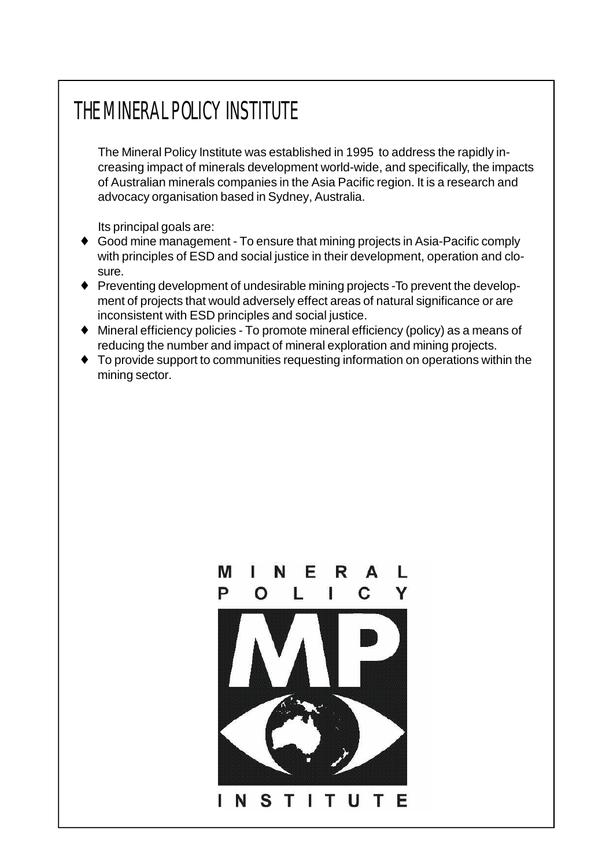# THE MINERAL POLICY INSTITUTE

The Mineral Policy Institute was established in 1995 to address the rapidly increasing impact of minerals development world-wide, and specifically, the impacts of Australian minerals companies in the Asia Pacific region. It is a research and advocacy organisation based in Sydney, Australia.

Its principal goals are:

- ♦ Good mine management To ensure that mining projects in Asia-Pacific comply with principles of ESD and social justice in their development, operation and closure.
- ♦ Preventing development of undesirable mining projects -To prevent the development of projects that would adversely effect areas of natural significance or are inconsistent with ESD principles and social justice.
- ♦ Mineral efficiency policies To promote mineral efficiency (policy) as a means of reducing the number and impact of mineral exploration and mining projects.
- ♦ To provide support to communities requesting information on operations within the mining sector.

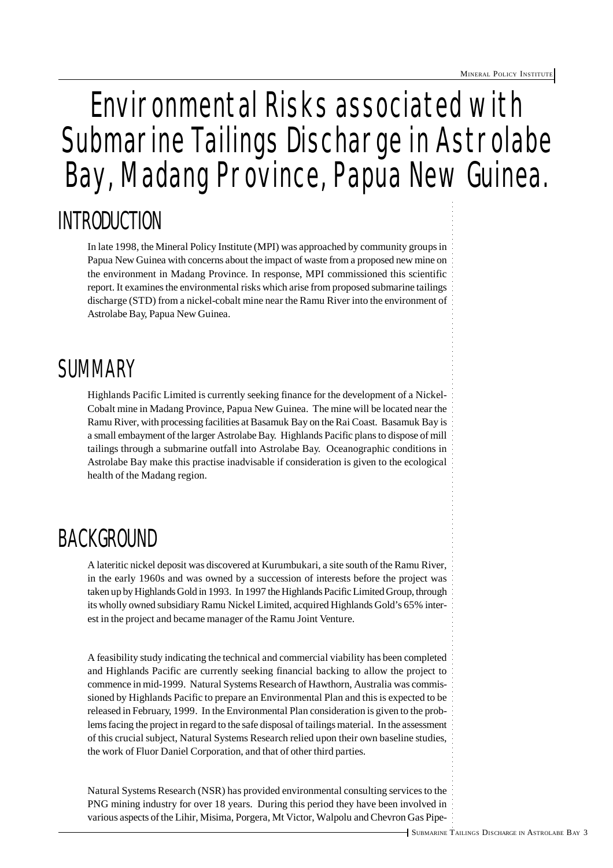# Environmental Risks associated with Submarine Tailings Discharge in Astrolabe Bay, Madang Province, Papua New Guinea.

## INTRODUCTION

In late 1998, the Mineral Policy Institute (MPI) was approached by community groups in Papua New Guinea with concerns about the impact of waste from a proposed new mine on the environment in Madang Province. In response, MPI commissioned this scientific report. It examines the environmental risks which arise from proposed submarine tailings discharge (STD) from a nickel-cobalt mine near the Ramu River into the environment of Astrolabe Bay, Papua New Guinea.

## SUMMARY

Highlands Pacific Limited is currently seeking finance for the development of a Nickel-Cobalt mine in Madang Province, Papua New Guinea. The mine will be located near the Ramu River, with processing facilities at Basamuk Bay on the Rai Coast. Basamuk Bay is a small embayment of the larger Astrolabe Bay. Highlands Pacific plans to dispose of mill tailings through a submarine outfall into Astrolabe Bay. Oceanographic conditions in Astrolabe Bay make this practise inadvisable if consideration is given to the ecological health of the Madang region.

### BACKGROUND

A lateritic nickel deposit was discovered at Kurumbukari, a site south of the Ramu River, in the early 1960s and was owned by a succession of interests before the project was taken up by Highlands Gold in 1993. In 1997 the Highlands Pacific Limited Group, through its wholly owned subsidiary Ramu Nickel Limited, acquired Highlands Gold's 65% interest in the project and became manager of the Ramu Joint Venture.

A feasibility study indicating the technical and commercial viability has been completed and Highlands Pacific are currently seeking financial backing to allow the project to commence in mid-1999. Natural Systems Research of Hawthorn, Australia was commissioned by Highlands Pacific to prepare an Environmental Plan and this is expected to be released in February, 1999. In the Environmental Plan consideration is given to the problems facing the project in regard to the safe disposal of tailings material. In the assessment of this crucial subject, Natural Systems Research relied upon their own baseline studies, the work of Fluor Daniel Corporation, and that of other third parties.

Natural Systems Research (NSR) has provided environmental consulting services to the PNG mining industry for over 18 years. During this period they have been involved in various aspects of the Lihir, Misima, Porgera, Mt Victor, Walpolu and Chevron Gas Pipe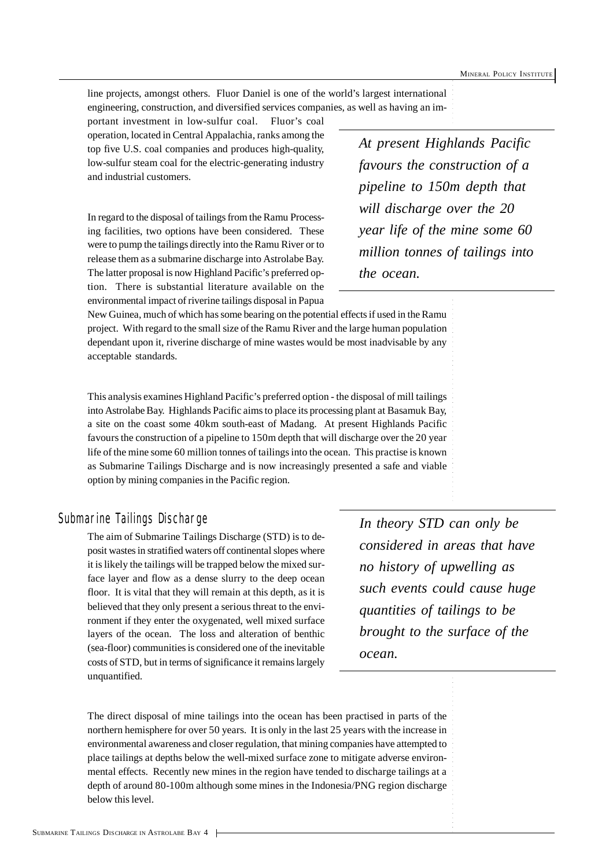line projects, amongst others. Fluor Daniel is one of the world's largest international engineering, construction, and diversified services companies, as well as having an im-

portant investment in low-sulfur coal. Fluor's coal operation, located in Central Appalachia, ranks among the top five U.S. coal companies and produces high-quality, low-sulfur steam coal for the electric-generating industry and industrial customers.

In regard to the disposal of tailings from the Ramu Processing facilities, two options have been considered. These were to pump the tailings directly into the Ramu River or to release them as a submarine discharge into Astrolabe Bay. The latter proposal is now Highland Pacific's preferred option. There is substantial literature available on the environmental impact of riverine tailings disposal in Papua

*At present Highlands Pacific favours the construction of a pipeline to 150m depth that will discharge over the 20 year life of the mine some 60 million tonnes of tailings into the ocean.*

New Guinea, much of which has some bearing on the potential effects if used in the Ramu project. With regard to the small size of the Ramu River and the large human population dependant upon it, riverine discharge of mine wastes would be most inadvisable by any acceptable standards.

This analysis examines Highland Pacific's preferred option - the disposal of mill tailings into Astrolabe Bay. Highlands Pacific aims to place its processing plant at Basamuk Bay, a site on the coast some 40km south-east of Madang. At present Highlands Pacific favours the construction of a pipeline to 150m depth that will discharge over the 20 year life of the mine some 60 million tonnes of tailings into the ocean. This practise is known as Submarine Tailings Discharge and is now increasingly presented a safe and viable option by mining companies in the Pacific region.

#### Submarine Tailings Discharge

The aim of Submarine Tailings Discharge (STD) is to deposit wastes in stratified waters off continental slopes where it is likely the tailings will be trapped below the mixed surface layer and flow as a dense slurry to the deep ocean floor. It is vital that they will remain at this depth, as it is believed that they only present a serious threat to the environment if they enter the oxygenated, well mixed surface layers of the ocean. The loss and alteration of benthic (sea-floor) communities is considered one of the inevitable costs of STD, but in terms of significance it remains largely unquantified.

*In theory STD can only be considered in areas that have no history of upwelling as such events could cause huge quantities of tailings to be brought to the surface of the ocean.*

The direct disposal of mine tailings into the ocean has been practised in parts of the northern hemisphere for over 50 years. It is only in the last 25 years with the increase in environmental awareness and closer regulation, that mining companies have attempted to place tailings at depths below the well-mixed surface zone to mitigate adverse environmental effects. Recently new mines in the region have tended to discharge tailings at a depth of around 80-100m although some mines in the Indonesia/PNG region discharge below this level.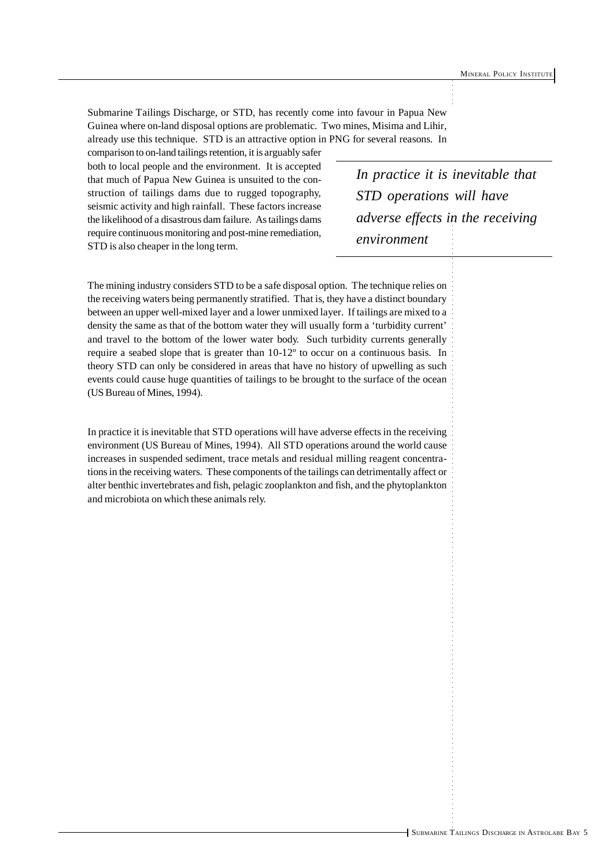Submarine Tailings Discharge, or STD, has recently come into favour in Papua New Guinea where on-land disposal options are problematic. Two mines, Misima and Lihir, already use this technique. STD is an attractive option in PNG for several reasons. In

comparison to on-land tailings retention, it is arguably safer both to local people and the environment. It is accepted that much of Papua New Guinea is unsuited to the construction of tailings dams due to rugged topography, seismic activity and high rainfall. These factors increase the likelihood of a disastrous dam failure. As tailings dams require continuous monitoring and post-mine remediation, STD is also cheaper in the long term.

*In practice it is inevitable that STD operations will have adverse effects in the receiving environment*

The mining industry considers STD to be a safe disposal option. The technique relies on the receiving waters being permanently stratified. That is, they have a distinct boundary between an upper well-mixed layer and a lower unmixed layer. If tailings are mixed to a density the same as that of the bottom water they will usually form a 'turbidity current' and travel to the bottom of the lower water body. Such turbidity currents generally require a seabed slope that is greater than 10-12º to occur on a continuous basis. In theory STD can only be considered in areas that have no history of upwelling as such events could cause huge quantities of tailings to be brought to the surface of the ocean (US Bureau of Mines, 1994).

In practice it is inevitable that STD operations will have adverse effects in the receiving environment (US Bureau of Mines, 1994). All STD operations around the world cause increases in suspended sediment, trace metals and residual milling reagent concentrations in the receiving waters. These components of the tailings can detrimentally affect or alter benthic invertebrates and fish, pelagic zooplankton and fish, and the phytoplankton and microbiota on which these animals rely.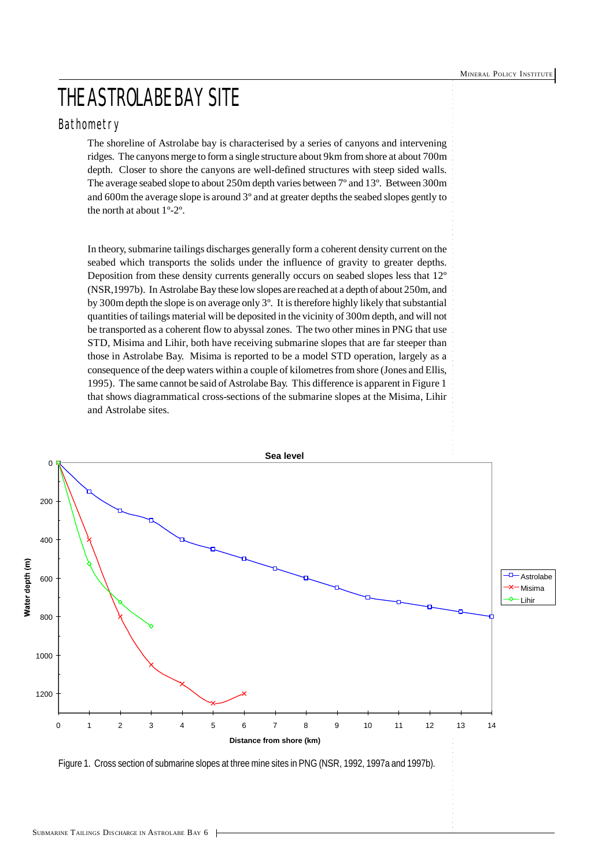### THE ASTROLABE BAY SITE

#### Bathometry

The shoreline of Astrolabe bay is characterised by a series of canyons and intervening ridges. The canyons merge to form a single structure about 9km from shore at about 700m depth. Closer to shore the canyons are well-defined structures with steep sided walls. The average seabed slope to about 250m depth varies between 7º and 13º. Between 300m and 600m the average slope is around 3º and at greater depths the seabed slopes gently to the north at about 1º-2º.

In theory, submarine tailings discharges generally form a coherent density current on the seabed which transports the solids under the influence of gravity to greater depths. Deposition from these density currents generally occurs on seabed slopes less that 12º (NSR,1997b). In Astrolabe Bay these low slopes are reached at a depth of about 250m, and by 300m depth the slope is on average only 3º. It is therefore highly likely that substantial quantities of tailings material will be deposited in the vicinity of 300m depth, and will not be transported as a coherent flow to abyssal zones. The two other mines in PNG that use STD, Misima and Lihir, both have receiving submarine slopes that are far steeper than those in Astrolabe Bay. Misima is reported to be a model STD operation, largely as a consequence of the deep waters within a couple of kilometres from shore (Jones and Ellis, 1995). The same cannot be said of Astrolabe Bay. This difference is apparent in Figure 1 that shows diagrammatical cross-sections of the submarine slopes at the Misima, Lihir and Astrolabe sites.



Figure 1. Cross section of submarine slopes at three mine sites in PNG (NSR, 1992, 1997a and 1997b).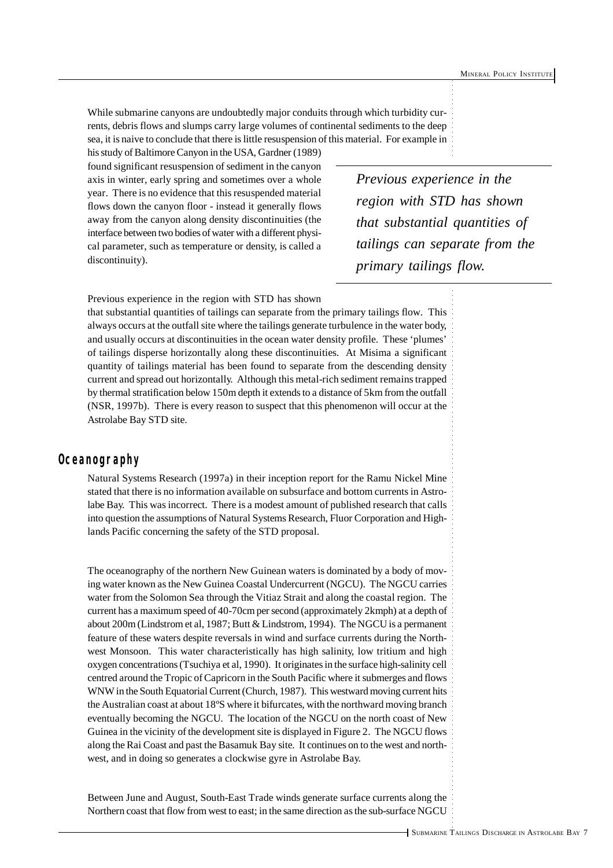While submarine canyons are undoubtedly major conduits through which turbidity currents, debris flows and slumps carry large volumes of continental sediments to the deep sea, it is naive to conclude that there is little resuspension of this material. For example in

his study of Baltimore Canyon in the USA, Gardner (1989) found significant resuspension of sediment in the canyon axis in winter, early spring and sometimes over a whole year. There is no evidence that this resuspended material flows down the canyon floor - instead it generally flows away from the canyon along density discontinuities (the interface between two bodies of water with a different physical parameter, such as temperature or density, is called a discontinuity).

*Previous experience in the region with STD has shown that substantial quantities of tailings can separate from the primary tailings flow.*

Previous experience in the region with STD has shown

that substantial quantities of tailings can separate from the primary tailings flow. This always occurs at the outfall site where the tailings generate turbulence in the water body, and usually occurs at discontinuities in the ocean water density profile. These 'plumes' of tailings disperse horizontally along these discontinuities. At Misima a significant quantity of tailings material has been found to separate from the descending density current and spread out horizontally. Although this metal-rich sediment remains trapped by thermal stratification below 150m depth it extends to a distance of 5km from the outfall (NSR, 1997b). There is every reason to suspect that this phenomenon will occur at the Astrolabe Bay STD site.

#### **Oceanography**

Natural Systems Research (1997a) in their inception report for the Ramu Nickel Mine stated that there is no information available on subsurface and bottom currents in Astrolabe Bay. This was incorrect. There is a modest amount of published research that calls into question the assumptions of Natural Systems Research, Fluor Corporation and Highlands Pacific concerning the safety of the STD proposal.

The oceanography of the northern New Guinean waters is dominated by a body of moving water known as the New Guinea Coastal Undercurrent (NGCU). The NGCU carries water from the Solomon Sea through the Vitiaz Strait and along the coastal region. The current has a maximum speed of 40-70cm per second (approximately 2kmph) at a depth of about 200m (Lindstrom et al, 1987; Butt & Lindstrom, 1994). The NGCU is a permanent feature of these waters despite reversals in wind and surface currents during the Northwest Monsoon. This water characteristically has high salinity, low tritium and high oxygen concentrations (Tsuchiya et al, 1990). It originates in the surface high-salinity cell centred around the Tropic of Capricorn in the South Pacific where it submerges and flows WNW in the South Equatorial Current (Church, 1987). This westward moving current hits the Australian coast at about 18ºS where it bifurcates, with the northward moving branch eventually becoming the NGCU. The location of the NGCU on the north coast of New Guinea in the vicinity of the development site is displayed in Figure 2. The NGCU flows along the Rai Coast and past the Basamuk Bay site. It continues on to the west and northwest, and in doing so generates a clockwise gyre in Astrolabe Bay.

Between June and August, South-East Trade winds generate surface currents along the Northern coast that flow from west to east; in the same direction as the sub-surface NGCU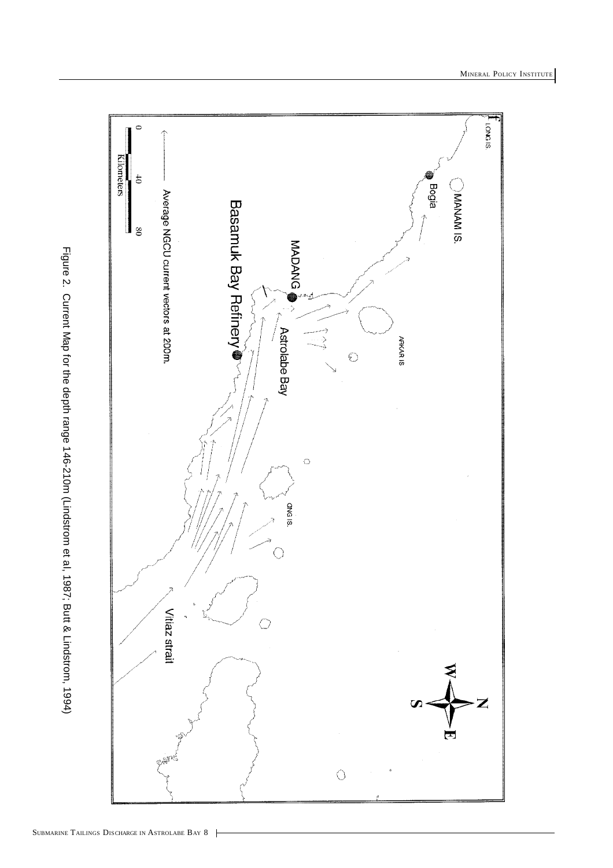

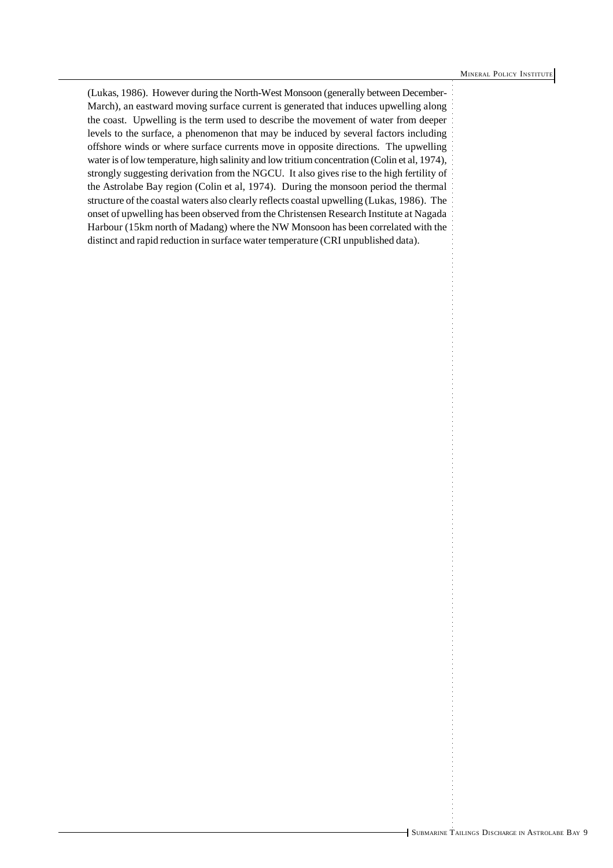(Lukas, 1986). However during the North-West Monsoon (generally between December-March), an eastward moving surface current is generated that induces upwelling along the coast. Upwelling is the term used to describe the movement of water from deeper levels to the surface, a phenomenon that may be induced by several factors including offshore winds or where surface currents move in opposite directions. The upwelling water is of low temperature, high salinity and low tritium concentration (Colin et al, 1974), strongly suggesting derivation from the NGCU. It also gives rise to the high fertility of the Astrolabe Bay region (Colin et al, 1974). During the monsoon period the thermal structure of the coastal waters also clearly reflects coastal upwelling (Lukas, 1986). The onset of upwelling has been observed from the Christensen Research Institute at Nagada Harbour (15km north of Madang) where the NW Monsoon has been correlated with the distinct and rapid reduction in surface water temperature (CRI unpublished data).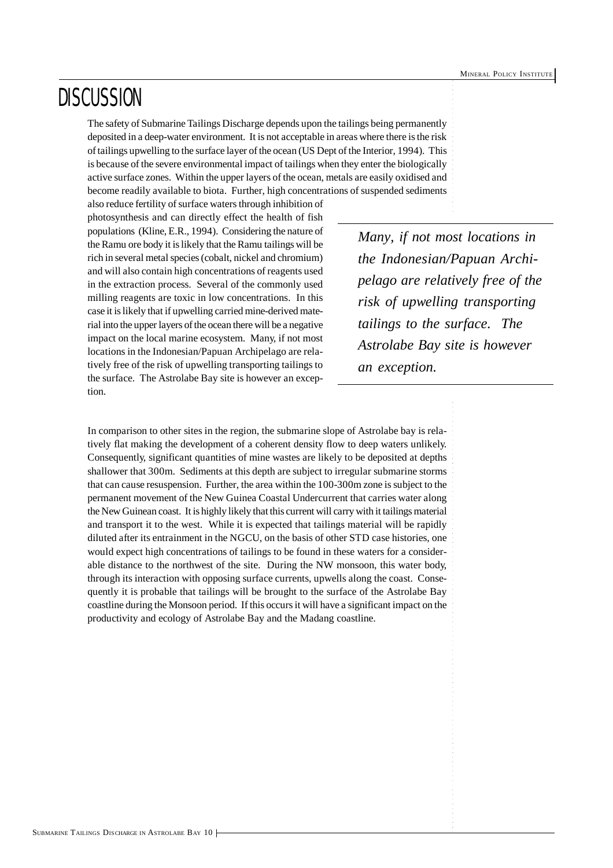### **DISCUSSION**

The safety of Submarine Tailings Discharge depends upon the tailings being permanently deposited in a deep-water environment. It is not acceptable in areas where there is the risk of tailings upwelling to the surface layer of the ocean (US Dept of the Interior, 1994). This is because of the severe environmental impact of tailings when they enter the biologically active surface zones. Within the upper layers of the ocean, metals are easily oxidised and become readily available to biota. Further, high concentrations of suspended sediments

also reduce fertility of surface waters through inhibition of photosynthesis and can directly effect the health of fish populations (Kline, E.R., 1994). Considering the nature of the Ramu ore body it is likely that the Ramu tailings will be rich in several metal species (cobalt, nickel and chromium) and will also contain high concentrations of reagents used in the extraction process. Several of the commonly used milling reagents are toxic in low concentrations. In this case it is likely that if upwelling carried mine-derived material into the upper layers of the ocean there will be a negative impact on the local marine ecosystem. Many, if not most locations in the Indonesian/Papuan Archipelago are relatively free of the risk of upwelling transporting tailings to the surface. The Astrolabe Bay site is however an exception.

*Many, if not most locations in the Indonesian/Papuan Archipelago are relatively free of the risk of upwelling transporting tailings to the surface. The Astrolabe Bay site is however an exception.*

In comparison to other sites in the region, the submarine slope of Astrolabe bay is relatively flat making the development of a coherent density flow to deep waters unlikely. Consequently, significant quantities of mine wastes are likely to be deposited at depths shallower that 300m. Sediments at this depth are subject to irregular submarine storms that can cause resuspension. Further, the area within the 100-300m zone is subject to the permanent movement of the New Guinea Coastal Undercurrent that carries water along the New Guinean coast. It is highly likely that this current will carry with it tailings material and transport it to the west. While it is expected that tailings material will be rapidly diluted after its entrainment in the NGCU, on the basis of other STD case histories, one would expect high concentrations of tailings to be found in these waters for a considerable distance to the northwest of the site. During the NW monsoon, this water body, through its interaction with opposing surface currents, upwells along the coast. Consequently it is probable that tailings will be brought to the surface of the Astrolabe Bay coastline during the Monsoon period. If this occurs it will have a significant impact on the productivity and ecology of Astrolabe Bay and the Madang coastline.